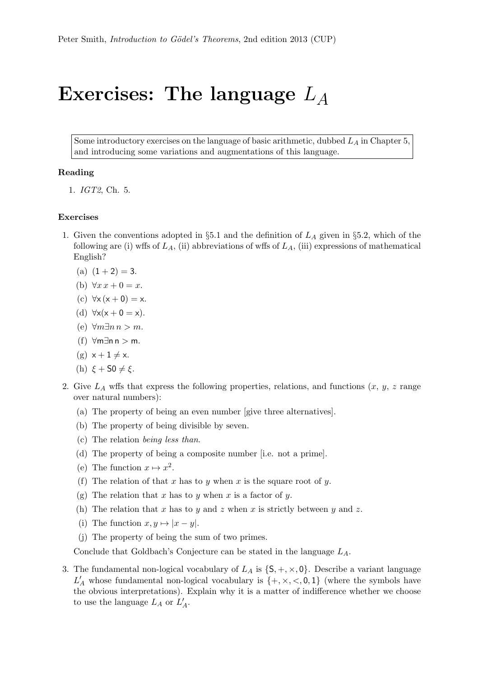## Exercises: The language  $L_A$

Some introductory exercises on the language of basic arithmetic, dubbed  $L_A$  in Chapter 5, and introducing some variations and augmentations of this language.

## Reading

1. IGT2, Ch. 5.

## Exercises

- 1. Given the conventions adopted in §5.1 and the definition of  $L_A$  given in §5.2, which of the following are (i) wffs of  $L_A$ , (ii) abbreviations of wffs of  $L_A$ , (iii) expressions of mathematical English?
	- (a)  $(1+2) = 3$ .
	- (b)  $\forall x \, x + 0 = x.$
	- (c)  $\forall x (x+0) = x$ .
	- (d)  $\forall x(x+0=x)$ .
	- (e) ∀m∃n n > m.
	- (f) ∀m∃n n > m.
	- (g)  $x + 1 \neq x$ .
	- (h)  $\xi + S0 \neq \xi$ .
- 2. Give  $L_A$  wffs that express the following properties, relations, and functions  $(x, y, z)$  range over natural numbers):
	- (a) The property of being an even number [give three alternatives].
	- (b) The property of being divisible by seven.
	- (c) The relation being less than.
	- (d) The property of being a composite number [i.e. not a prime].
	- (e) The function  $x \mapsto x^2$ .
	- (f) The relation of that x has to y when x is the square root of y.
	- (g) The relation that x has to y when x is a factor of y.
	- (h) The relation that x has to y and z when x is strictly between y and z.
	- (i) The function  $x, y \mapsto |x y|$ .
	- (j) The property of being the sum of two primes.

Conclude that Goldbach's Conjecture can be stated in the language  $L_A$ .

3. The fundamental non-logical vocabulary of  $L_A$  is  $\{S, +, \times, 0\}$ . Describe a variant language  $L'_A$  whose fundamental non-logical vocabulary is  $\{+, \times, <, 0, 1\}$  (where the symbols have the obvious interpretations). Explain why it is a matter of indifference whether we choose to use the language  $L_A$  or  $L'_A$ .